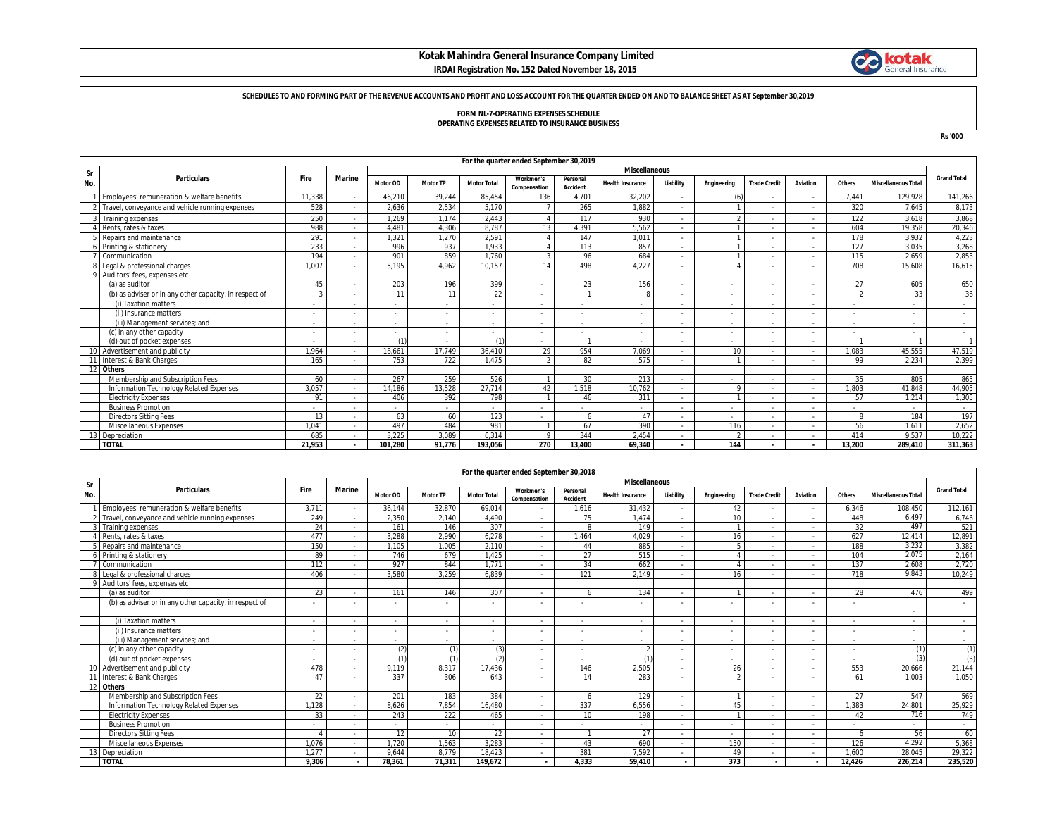# **Kotak Mahindra General Insurance Company Limited**



### **IRDAI Registration No. 152 Dated November 18, 2015**

### **SCHEDULES TO AND FORMING PART OF THE REVENUE ACCOUNTS AND PROFIT AND LOSS ACCOUNT FOR THE QUARTER ENDED ON AND TO BALANCE SHEET AS AT September 30,2019**

# **FORM NL-7-OPERATING EXPENSES SCHEDULE**

**OPERATING EXPENSES RELATED TO INSURANCE BUSINESS**

**Rs '000**

|           | For the quarter ended September 30,2019                |                          |               |                          |                 |                          |                           |                      |                          |                          |                |                     |          |                          |                            |                    |
|-----------|--------------------------------------------------------|--------------------------|---------------|--------------------------|-----------------|--------------------------|---------------------------|----------------------|--------------------------|--------------------------|----------------|---------------------|----------|--------------------------|----------------------------|--------------------|
| <b>Sr</b> | <b>Miscellaneous</b>                                   |                          |               |                          |                 |                          |                           |                      |                          |                          |                |                     |          |                          |                            |                    |
| No.       | <b>Particulars</b>                                     | <b>Fire</b>              | <b>Marine</b> | Motor OD                 | <b>Motor TP</b> | <b>Motor Total</b>       | Workmen's<br>Compensation | Personal<br>Accident | <b>Health Insurance</b>  | Liability                | Engineering    | <b>Trade Credit</b> | Aviation | Others                   | <b>Miscellaneous Total</b> | <b>Grand Total</b> |
|           | Employees' remuneration & welfare benefits             | 11,338                   |               | 46,210                   | 39,244          | 85.454                   | 136                       | 4,701                | 32,202                   |                          | (6)            |                     |          | 7,441                    | 129.928                    | 141,266            |
|           | 2 Travel, conveyance and vehicle running expenses      | 528                      |               | 2,636                    | 2,534           | 5,170                    |                           | 265                  | 1.882                    | ۰.                       |                |                     |          | 320                      | 7.645                      | 8,173              |
|           | 3 Training expenses                                    | 250                      |               | 1.269                    | 1.174           | 2.443                    |                           | 117                  | 930                      |                          |                |                     |          | 122                      | 3,618                      | 3,868              |
|           | Rents, rates & taxes                                   | 988                      |               | 4.481                    | 4.306           | 8.787                    | 13                        | 4.391                | 5.562                    |                          |                |                     |          | 604                      | 19.358                     | 20,346             |
|           | Repairs and maintenance                                | 291                      |               | 1.321                    | 1.270           | 2.591                    |                           | 147                  | 1.011                    | ۰.                       |                |                     |          | 178                      | 3.932                      | 4,223              |
|           | Printing & stationery                                  | 233                      |               | 996                      | 937             | 1.933                    |                           | 113                  | 857                      |                          |                |                     |          | 127                      | 3.035                      | 3,268              |
|           | Communication                                          | 194                      |               | 901                      | 859             | 1.760                    |                           | 96                   | 684                      |                          |                |                     |          | 115                      | 2.659                      | 2,853              |
|           | Legal & professional charges                           | 1.007                    |               | 5.195                    | 4.962           | 10.157                   | 14                        | 498                  | 4.227                    | ۰.                       |                |                     |          | 708                      | 15.608                     | 16,615             |
|           | Auditors' fees, expenses etc                           |                          |               |                          |                 |                          |                           |                      |                          |                          |                |                     |          |                          |                            |                    |
|           | (a) as auditor                                         | 45                       |               | 203                      | 196             | 399                      | ٠                         | 23                   | 156                      |                          | $\sim$         |                     |          | 27                       | 605                        | 650                |
|           | (b) as adviser or in any other capacity, in respect of |                          |               | 11                       | 11              | 22                       | $\overline{\phantom{a}}$  |                      | 8                        |                          | $\sim$         |                     |          |                          | 33                         | 36                 |
|           | (i) Taxation matters                                   | $\overline{\phantom{a}}$ |               | $\sim$                   |                 | $\overline{\phantom{a}}$ | $\overline{\phantom{a}}$  |                      |                          |                          | $\sim$         |                     |          | $\overline{\phantom{a}}$ | $\overline{\phantom{a}}$   | $\sim$             |
|           | (ii) Insurance matters                                 | $\overline{\phantom{a}}$ |               | $\sim$                   |                 | $\overline{\phantom{a}}$ | $\overline{\phantom{a}}$  |                      | $\overline{\phantom{a}}$ | ۰.                       | $\sim$         |                     |          | $\overline{\phantom{a}}$ | $\overline{\phantom{a}}$   | $\sim$             |
|           | (iii) Management services: and                         | $\overline{\phantom{a}}$ |               | $\sim$                   | $\sim$          | $\sim$                   | $\overline{\phantom{a}}$  |                      | $\overline{\phantom{a}}$ | ۰.                       | $\sim$         |                     |          | $\overline{\phantom{a}}$ | $\overline{\phantom{a}}$   | $\sim$             |
|           | (c) in any other capacity                              | $\overline{\phantom{a}}$ |               | $\sim$                   |                 | ٠                        | $\overline{\phantom{a}}$  |                      | $\overline{\phantom{a}}$ | ۰.                       | $\sim$         |                     |          | $\overline{\phantom{a}}$ | $\overline{\phantom{a}}$   | $\sim$             |
|           | (d) out of pocket expenses                             | $\overline{\phantom{a}}$ |               | (1)                      |                 | (1)                      | $\overline{\phantom{a}}$  |                      |                          |                          | $\overline{a}$ |                     |          |                          |                            |                    |
|           | Advertisement and publicity                            | 1,964                    |               | 18.661                   | 17,749          | 36.410                   | 29                        | 954                  | 7,069                    |                          | 10             |                     |          | 1.083                    | 45.555                     | 47,519             |
| 11        | Interest & Bank Charges                                | 165                      |               | 753                      | 722             | 1.475                    | $\Omega$                  | 82                   | 575                      | $\overline{\phantom{a}}$ |                |                     |          | 99                       | 2.234                      | 2.399              |
| 12        | <b>Others</b>                                          |                          |               |                          |                 |                          |                           |                      |                          |                          |                |                     |          |                          |                            |                    |
|           | Membership and Subscription Fees                       | 60                       |               | 267                      | 259             | 526                      |                           | 30                   | 213                      | $\sim$                   | $\sim$         |                     |          | 35                       | 805                        | 865                |
|           | Information Technology Related Expenses                | 3.057                    |               | 14.186                   | 13.528          | 27.714                   | 42                        | 1.518                | 10.762                   | ۰.                       |                |                     |          | 1.803                    | 41.848                     | 44,905             |
|           | <b>Electricity Expenses</b>                            | 91                       |               | 406                      | 392             | 798                      |                           | 46                   | 311                      |                          |                |                     |          | 57                       | 1.214                      | 1,305              |
|           | <b>Business Promotion</b>                              | ٠                        |               | $\overline{\phantom{a}}$ |                 | $\overline{\phantom{a}}$ | $\overline{\phantom{a}}$  |                      |                          |                          | $\sim$         |                     |          | $\overline{\phantom{a}}$ |                            |                    |
|           | <b>Directors Sitting Fees</b>                          | 13                       |               | 63                       | 60              | 123                      | $\overline{\phantom{a}}$  |                      | 47                       | ۰.                       | $\sim$         |                     |          | 8                        | 184                        | 197                |
|           | Miscellaneous Expenses                                 | 1.041                    |               | 497                      | 484             | 981                      |                           | 67                   | 390                      |                          | 116            |                     |          | 56                       | 1.611                      | 2,652              |
|           | Depreciation                                           | 685                      |               | 3.225                    | 3,089           | 6,314                    | $\Omega$                  | 344                  | 2,454                    | $\overline{\phantom{a}}$ |                |                     |          | 414                      | 9.537                      | 10,222             |
|           | <b>TOTAL</b>                                           | 21,953                   |               | 101,280                  | 91,776          | 193,056                  | 270                       | 13.400               | 69,340                   | $\sim$                   | 144            |                     |          | 13,200                   | 289.410                    | 311,363            |

|             | For the quarter ended September 30,2018                |                          |               |                      |                 |                          |                                  |                      |                         |                          |             |                          |                          |                          |                            |                    |
|-------------|--------------------------------------------------------|--------------------------|---------------|----------------------|-----------------|--------------------------|----------------------------------|----------------------|-------------------------|--------------------------|-------------|--------------------------|--------------------------|--------------------------|----------------------------|--------------------|
| Sr          |                                                        |                          |               | <b>Miscellaneous</b> |                 |                          |                                  |                      |                         |                          |             |                          |                          |                          |                            |                    |
| No.         | <b>Particulars</b>                                     | Fire                     | <b>Marine</b> | Motor OD             | <b>Motor TP</b> | <b>Motor Total</b>       | <b>Workmen's</b><br>Compensation | Personal<br>Accident | <b>Health Insurance</b> | Liability                | Engineering | <b>Trade Credit</b>      | <b>Aviation</b>          | Others                   | <b>Miscellaneous Total</b> | <b>Grand Total</b> |
|             | Employees' remuneration & welfare benefits             | 3.711                    |               | 36.144               | 32.870          | 69.014                   |                                  | 1.616                | 31.432                  | $\sim$                   | 42          |                          | $\overline{\phantom{a}}$ | 6.346                    | 108.450                    | 112,161            |
|             | Travel, convevance and vehicle running expenses        | 249                      |               | 2.350                | 2.140           | 4.490                    | $\overline{\phantom{a}}$         | 75                   | 1.474                   | ۰.                       | 10          |                          |                          | 448                      | 6.497                      | 6.746              |
|             | Training expenses                                      | 24                       |               | 161                  | 146             | 307                      | $\overline{\phantom{a}}$         | 8                    | 149                     | $\sim$                   |             |                          |                          | 32                       | 497                        | 521                |
|             | Rents, rates & taxes                                   | 477                      |               | 3.288                | 2.990           | 6.278                    | $\overline{\phantom{a}}$         | .464                 | 4.029                   | ٠                        | 16          |                          |                          | 627                      | 12.414                     | 12,891             |
|             | Repairs and maintenance                                | 150                      |               | 1.105                | 1.005           | 2.110                    | $\overline{\phantom{a}}$         | 44                   | 885                     | ٠                        |             |                          |                          | 188                      | 3.232                      | 3,382              |
|             | Printing & stationery                                  | 89                       |               | 746                  | 679             | 1.425                    | $\overline{\phantom{a}}$         | 27                   | 515                     | $\overline{\phantom{a}}$ |             |                          |                          | 104                      | 2.075                      | 2,164              |
|             | Communication                                          | 112                      |               | 927                  | 844             | 1.771                    | $\overline{\phantom{a}}$         | 34                   | 662                     |                          |             |                          |                          | 137                      | 2.608                      | 2,720              |
|             | Legal & professional charges                           | 406                      |               | 3,580                | 3,259           | 6.839                    | $\overline{\phantom{a}}$         | 121                  | 2.149                   |                          | 16          |                          |                          | 718                      | 9.843                      | 10,249             |
| $\mathbf Q$ | Auditors' fees, expenses etc                           |                          |               |                      |                 |                          |                                  |                      |                         |                          |             |                          |                          |                          |                            |                    |
|             | (a) as auditor                                         | 23                       |               | 161                  | 146             | 307                      | $\overline{\phantom{a}}$         |                      | 134                     |                          |             |                          |                          | 28                       | 476                        | 499                |
|             | (b) as adviser or in any other capacity, in respect of |                          |               |                      |                 |                          |                                  |                      |                         |                          |             |                          |                          |                          |                            |                    |
|             | (i) Taxation matters                                   | $\sim$                   |               | $\sim$               |                 | $\sim$                   | $\overline{\phantom{a}}$         |                      | $\sim$                  |                          | $\sim$      | $\overline{\phantom{a}}$ | $\sim$                   | $\sim$                   | $\overline{\phantom{a}}$   | $\sim$             |
|             | (ii) Insurance matters                                 | ۰.                       |               | $\sim$               |                 | $\overline{\phantom{a}}$ | $\overline{\phantom{a}}$         |                      |                         | $\overline{\phantom{a}}$ | $\sim$      |                          |                          | ۰.                       | $\overline{\phantom{a}}$   | $\sim$             |
|             | (iii) Management services: and                         | $\sim$                   |               | $\sim$               |                 | $\sim$                   | $\overline{\phantom{a}}$         |                      |                         | $\overline{\phantom{a}}$ | $\sim$      |                          |                          | $\overline{\phantom{a}}$ | $\overline{\phantom{a}}$   | $\sim$             |
|             | (c) in any other capacity                              | $\overline{\phantom{a}}$ |               | (2)                  | (1)             | (3)                      | $\overline{\phantom{a}}$         |                      |                         | $\overline{\phantom{a}}$ | $\sim$      |                          |                          | $\overline{\phantom{a}}$ | (1)                        | (1)                |
|             | (d) out of pocket expenses                             | ۰.                       |               |                      | (1)             | (2)                      | $\overline{\phantom{a}}$         |                      | (1)                     | $\sim$                   | $\sim$      |                          |                          | ۰.                       | (3)                        | (3)                |
|             | Advertisement and publicity                            | 478                      |               | 9.119                | 8.317           | 17.436                   | $\overline{\phantom{a}}$         | 146                  | 2.505                   |                          | 26          |                          |                          | 553                      | 20,666                     | 21,144             |
|             | Interest & Bank Charges                                | 47                       |               | 337                  | 306             | 643                      | $\overline{\phantom{a}}$         | 14                   | 283                     |                          |             |                          |                          | 61                       | 1.003                      | 1.050              |
| 12          | <b>Others</b>                                          |                          |               |                      |                 |                          |                                  |                      |                         |                          |             |                          |                          |                          |                            |                    |
|             | Membership and Subscription Fees                       | 22                       |               | 201                  | 183             | 384                      | $\overline{\phantom{a}}$         |                      | 129                     | $\overline{\phantom{a}}$ |             |                          |                          | 27                       | 547                        | 569                |
|             | Information Technology Related Expenses                | 1.128                    |               | 8,626                | 7,854           | 16.480                   | $\overline{\phantom{a}}$         | 337                  | 6,556                   |                          | 45          |                          |                          | 1.383                    | 24.801                     | 25,929             |
|             | <b>Electricity Expenses</b>                            | 33                       |               | 243                  | 222             | 465                      | $\overline{\phantom{a}}$         | 10 <sup>1</sup>      | 198                     | ۰.                       |             |                          |                          | 42                       | 716                        | 749                |
|             | <b>Business Promotion</b>                              |                          |               | $\sim$               |                 | $\overline{\phantom{a}}$ | $\overline{\phantom{a}}$         |                      |                         | ۰                        | $\sim$      |                          |                          |                          | $\overline{\phantom{a}}$   | $\sim$             |
|             | <b>Directors Sitting Fees</b>                          |                          |               | 12                   | 10              | 22                       | $\overline{\phantom{a}}$         |                      | 27                      | $\sim$                   | $\sim$      |                          |                          | $\sqrt{2}$               | 56                         | 60                 |
|             | Miscellaneous Expenses                                 | 1.076                    |               | 1.720                | 1,563           | 3.283                    | $\overline{\phantom{a}}$         | 43                   | 690                     | ۰.                       | 150         |                          |                          | 126                      | 4.292                      | 5,368              |
|             | Depreciation                                           | 1,277                    |               | 9,644                | 8,779           | 18,423                   | $\overline{\phantom{a}}$         | 381                  | 7,592                   |                          | 49          |                          |                          | 1,600                    | 28.045                     | 29,322             |
|             | <b>TOTAL</b>                                           | 9.306                    |               | 78,361               | 71,311          | 149.672                  | $\overline{\phantom{a}}$         | 4.333                | 59.410                  | $\blacksquare$           | 373         | $\overline{\phantom{a}}$ | $\overline{\phantom{a}}$ | 12.426                   | 226.214                    | 235,520            |